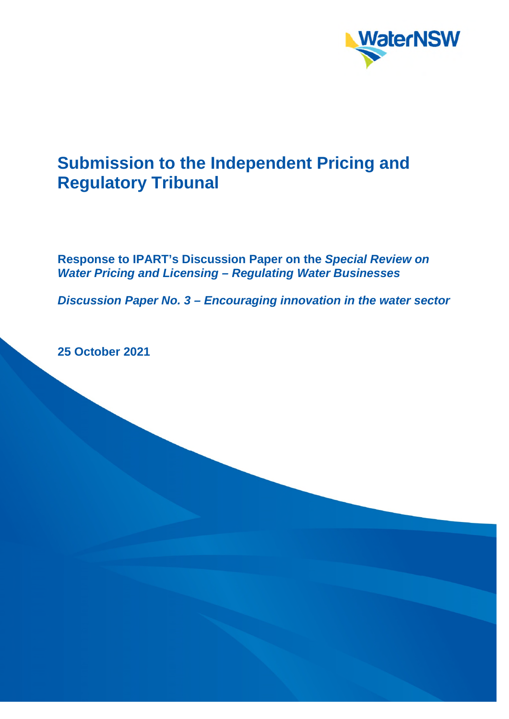

# **Submission to the Independent Pricing and Regulatory Tribunal**

**Response to IPART's Discussion Paper on the** *Special Review on Water Pricing and Licensing – Regulating Water Businesses* 

*Discussion Paper No. 3 – Encouraging innovation in the water sector*

**25 October 2021**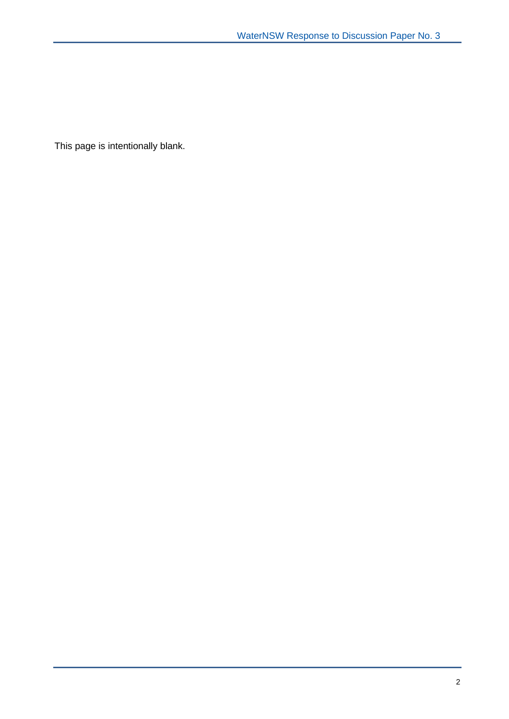This page is intentionally blank.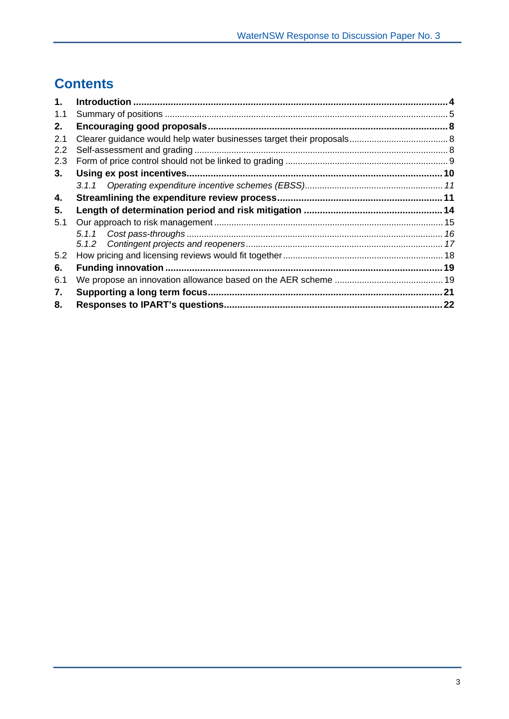# **Contents**

| 3.1.1 |    |
|-------|----|
|       |    |
|       |    |
|       |    |
| 5.1.1 |    |
|       |    |
|       |    |
|       |    |
|       |    |
|       | 21 |
|       | 22 |
|       |    |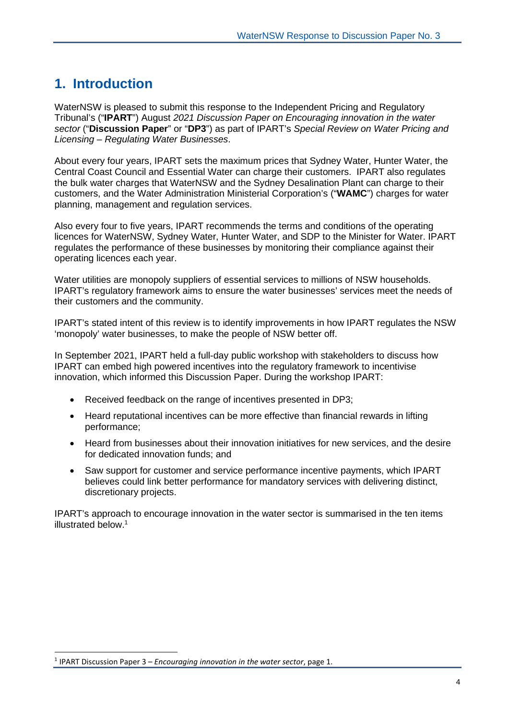# **1. Introduction**

WaterNSW is pleased to submit this response to the Independent Pricing and Regulatory Tribunal's ("**IPART**") August *2021 Discussion Paper on Encouraging innovation in the water sector* ("**Discussion Paper**" or "**DP3**") as part of IPART's *Special Review on Water Pricing and Licensing – Regulating Water Businesses*.

About every four years, IPART sets the maximum prices that Sydney Water, Hunter Water, the Central Coast Council and Essential Water can charge their customers. IPART also regulates the bulk water charges that WaterNSW and the Sydney Desalination Plant can charge to their customers, and the Water Administration Ministerial Corporation's ("**WAMC**") charges for water planning, management and regulation services.

Also every four to five years, IPART recommends the terms and conditions of the operating licences for WaterNSW, Sydney Water, Hunter Water, and SDP to the Minister for Water. IPART regulates the performance of these businesses by monitoring their compliance against their operating licences each year.

Water utilities are monopoly suppliers of essential services to millions of NSW households. IPART's regulatory framework aims to ensure the water businesses' services meet the needs of their customers and the community.

IPART's stated intent of this review is to identify improvements in how IPART regulates the NSW 'monopoly' water businesses, to make the people of NSW better off.

In September 2021, IPART held a full-day public workshop with stakeholders to discuss how IPART can embed high powered incentives into the regulatory framework to incentivise innovation, which informed this Discussion Paper. During the workshop IPART:

- Received feedback on the range of incentives presented in DP3;
- Heard reputational incentives can be more effective than financial rewards in lifting performance;
- Heard from businesses about their innovation initiatives for new services, and the desire for dedicated innovation funds; and
- Saw support for customer and service performance incentive payments, which IPART believes could link better performance for mandatory services with delivering distinct, discretionary projects.

IPART's approach to encourage innovation in the water sector is summarised in the ten items illustrated below.<sup>1</sup>

<sup>&</sup>lt;sup>1</sup> IPART Discussion Paper 3 – *Encouraging innovation in the water sector*, page 1.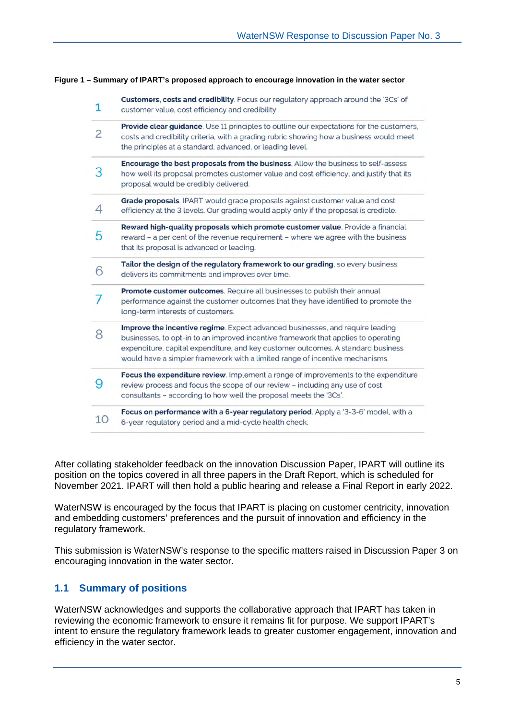| 1  | Customers, costs and credibility. Focus our regulatory approach around the '3Cs' of<br>customer value, cost efficiency and credibility.                                                                                                                                                                                                 |
|----|-----------------------------------------------------------------------------------------------------------------------------------------------------------------------------------------------------------------------------------------------------------------------------------------------------------------------------------------|
| 2  | Provide clear guidance. Use 11 principles to outline our expectations for the customers,<br>costs and credibility criteria, with a grading rubric showing how a business would meet<br>the principles at a standard, advanced, or leading level.                                                                                        |
| 3  | Encourage the best proposals from the business. Allow the business to self-assess<br>how well its proposal promotes customer value and cost efficiency, and justify that its<br>proposal would be credibly delivered.                                                                                                                   |
| 4  | Grade proposals. IPART would grade proposals against customer value and cost<br>efficiency at the 3 levels. Our grading would apply only if the proposal is credible.                                                                                                                                                                   |
| 5  | Reward high-quality proposals which promote customer value. Provide a financial<br>reward - a per cent of the revenue requirement - where we agree with the business<br>that its proposal is advanced or leading.                                                                                                                       |
| 6  | Tailor the design of the regulatory framework to our grading, so every business<br>delivers its commitments and improves over time.                                                                                                                                                                                                     |
| 7  | Promote customer outcomes. Require all businesses to publish their annual<br>performance against the customer outcomes that they have identified to promote the<br>long-term interests of customers.                                                                                                                                    |
| 8  | Improve the incentive regime. Expect advanced businesses, and require leading<br>businesses, to opt-in to an improved incentive framework that applies to operating<br>expenditure, capital expenditure, and key customer outcomes. A standard business<br>would have a simpler framework with a limited range of incentive mechanisms. |
| 9  | Focus the expenditure review. Implement a range of improvements to the expenditure<br>review process and focus the scope of our review - including any use of cost<br>consultants - according to how well the proposal meets the '3Cs'.                                                                                                 |
| 10 | Focus on performance with a 6-year regulatory period. Apply a '3-3-6' model, with a<br>6-year regulatory period and a mid-cycle health check.                                                                                                                                                                                           |

#### **Figure 1 – Summary of IPART's proposed approach to encourage innovation in the water sector**

After collating stakeholder feedback on the innovation Discussion Paper, IPART will outline its position on the topics covered in all three papers in the Draft Report, which is scheduled for November 2021. IPART will then hold a public hearing and release a Final Report in early 2022.

WaterNSW is encouraged by the focus that IPART is placing on customer centricity, innovation and embedding customers' preferences and the pursuit of innovation and efficiency in the regulatory framework.

This submission is WaterNSW's response to the specific matters raised in Discussion Paper 3 on encouraging innovation in the water sector.

### **1.1 Summary of positions**

WaterNSW acknowledges and supports the collaborative approach that IPART has taken in reviewing the economic framework to ensure it remains fit for purpose. We support IPART's intent to ensure the regulatory framework leads to greater customer engagement, innovation and efficiency in the water sector.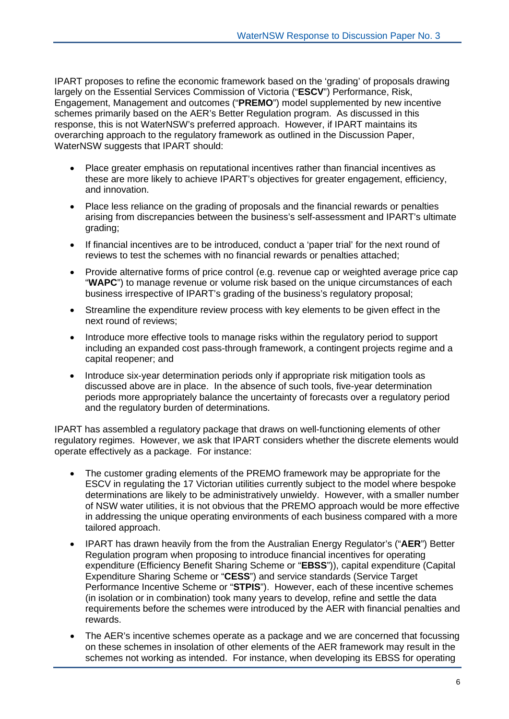IPART proposes to refine the economic framework based on the 'grading' of proposals drawing largely on the Essential Services Commission of Victoria ("**ESCV**") Performance, Risk, Engagement, Management and outcomes ("**PREMO**") model supplemented by new incentive schemes primarily based on the AER's Better Regulation program. As discussed in this response, this is not WaterNSW's preferred approach. However, if IPART maintains its overarching approach to the regulatory framework as outlined in the Discussion Paper, WaterNSW suggests that IPART should:

- Place greater emphasis on reputational incentives rather than financial incentives as these are more likely to achieve IPART's objectives for greater engagement, efficiency, and innovation.
- Place less reliance on the grading of proposals and the financial rewards or penalties arising from discrepancies between the business's self-assessment and IPART's ultimate grading;
- If financial incentives are to be introduced, conduct a 'paper trial' for the next round of reviews to test the schemes with no financial rewards or penalties attached;
- Provide alternative forms of price control (e.g. revenue cap or weighted average price cap "**WAPC**") to manage revenue or volume risk based on the unique circumstances of each business irrespective of IPART's grading of the business's regulatory proposal;
- Streamline the expenditure review process with key elements to be given effect in the next round of reviews;
- Introduce more effective tools to manage risks within the regulatory period to support including an expanded cost pass-through framework, a contingent projects regime and a capital reopener; and
- Introduce six-year determination periods only if appropriate risk mitigation tools as discussed above are in place. In the absence of such tools, five-year determination periods more appropriately balance the uncertainty of forecasts over a regulatory period and the regulatory burden of determinations.

IPART has assembled a regulatory package that draws on well-functioning elements of other regulatory regimes. However, we ask that IPART considers whether the discrete elements would operate effectively as a package. For instance:

- The customer grading elements of the PREMO framework may be appropriate for the ESCV in regulating the 17 Victorian utilities currently subject to the model where bespoke determinations are likely to be administratively unwieldy. However, with a smaller number of NSW water utilities, it is not obvious that the PREMO approach would be more effective in addressing the unique operating environments of each business compared with a more tailored approach.
- IPART has drawn heavily from the from the Australian Energy Regulator's ("**AER**") Better Regulation program when proposing to introduce financial incentives for operating expenditure (Efficiency Benefit Sharing Scheme or "**EBSS**")), capital expenditure (Capital Expenditure Sharing Scheme or "**CESS**") and service standards (Service Target Performance Incentive Scheme or "**STPIS**"). However, each of these incentive schemes (in isolation or in combination) took many years to develop, refine and settle the data requirements before the schemes were introduced by the AER with financial penalties and rewards.
- The AER's incentive schemes operate as a package and we are concerned that focussing on these schemes in insolation of other elements of the AER framework may result in the schemes not working as intended. For instance, when developing its EBSS for operating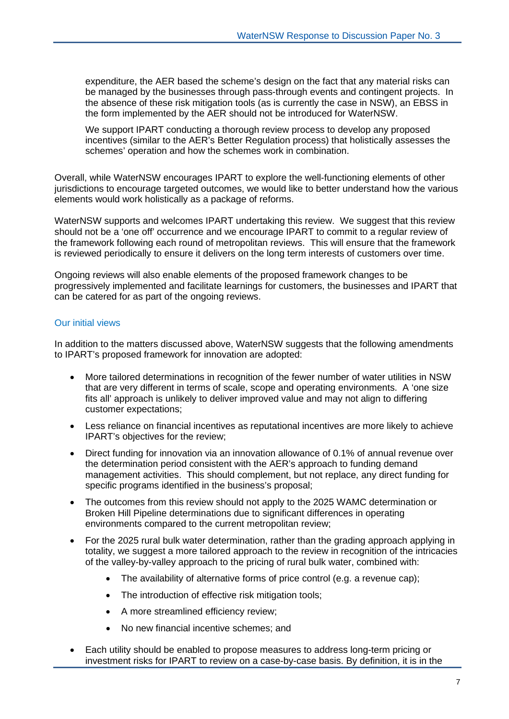expenditure, the AER based the scheme's design on the fact that any material risks can be managed by the businesses through pass-through events and contingent projects. In the absence of these risk mitigation tools (as is currently the case in NSW), an EBSS in the form implemented by the AER should not be introduced for WaterNSW.

We support IPART conducting a thorough review process to develop any proposed incentives (similar to the AER's Better Regulation process) that holistically assesses the schemes' operation and how the schemes work in combination.

Overall, while WaterNSW encourages IPART to explore the well-functioning elements of other jurisdictions to encourage targeted outcomes, we would like to better understand how the various elements would work holistically as a package of reforms.

WaterNSW supports and welcomes IPART undertaking this review. We suggest that this review should not be a 'one off' occurrence and we encourage IPART to commit to a regular review of the framework following each round of metropolitan reviews. This will ensure that the framework is reviewed periodically to ensure it delivers on the long term interests of customers over time.

Ongoing reviews will also enable elements of the proposed framework changes to be progressively implemented and facilitate learnings for customers, the businesses and IPART that can be catered for as part of the ongoing reviews.

### Our initial views

In addition to the matters discussed above, WaterNSW suggests that the following amendments to IPART's proposed framework for innovation are adopted:

- More tailored determinations in recognition of the fewer number of water utilities in NSW that are very different in terms of scale, scope and operating environments. A 'one size fits all' approach is unlikely to deliver improved value and may not align to differing customer expectations;
- Less reliance on financial incentives as reputational incentives are more likely to achieve IPART's objectives for the review;
- Direct funding for innovation via an innovation allowance of 0.1% of annual revenue over the determination period consistent with the AER's approach to funding demand management activities. This should complement, but not replace, any direct funding for specific programs identified in the business's proposal;
- The outcomes from this review should not apply to the 2025 WAMC determination or Broken Hill Pipeline determinations due to significant differences in operating environments compared to the current metropolitan review;
- For the 2025 rural bulk water determination, rather than the grading approach applying in totality, we suggest a more tailored approach to the review in recognition of the intricacies of the valley-by-valley approach to the pricing of rural bulk water, combined with:
	- The availability of alternative forms of price control (e.g. a revenue cap);
	- The introduction of effective risk mitigation tools;
	- A more streamlined efficiency review;
	- No new financial incentive schemes; and
- Each utility should be enabled to propose measures to address long-term pricing or investment risks for IPART to review on a case-by-case basis. By definition, it is in the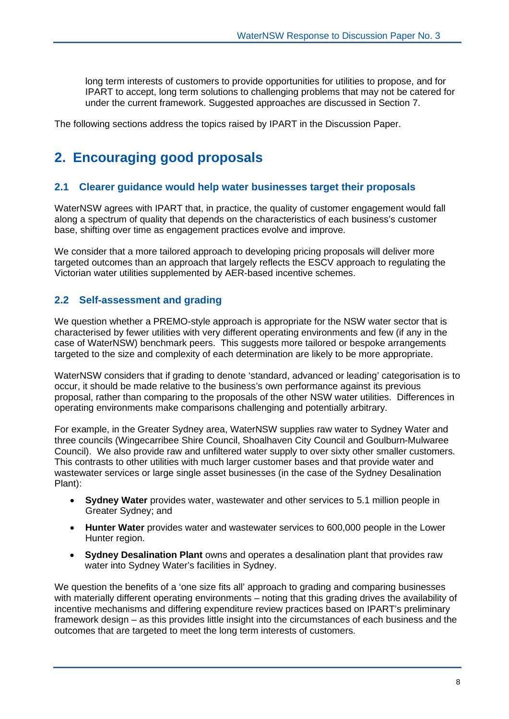long term interests of customers to provide opportunities for utilities to propose, and for IPART to accept, long term solutions to challenging problems that may not be catered for under the current framework. Suggested approaches are discussed in Section 7.

The following sections address the topics raised by IPART in the Discussion Paper.

# **2. Encouraging good proposals**

### **2.1 Clearer guidance would help water businesses target their proposals**

WaterNSW agrees with IPART that, in practice, the quality of customer engagement would fall along a spectrum of quality that depends on the characteristics of each business's customer base, shifting over time as engagement practices evolve and improve.

We consider that a more tailored approach to developing pricing proposals will deliver more targeted outcomes than an approach that largely reflects the ESCV approach to regulating the Victorian water utilities supplemented by AER-based incentive schemes.

### **2.2 Self-assessment and grading**

We question whether a PREMO-style approach is appropriate for the NSW water sector that is characterised by fewer utilities with very different operating environments and few (if any in the case of WaterNSW) benchmark peers. This suggests more tailored or bespoke arrangements targeted to the size and complexity of each determination are likely to be more appropriate.

WaterNSW considers that if grading to denote 'standard, advanced or leading' categorisation is to occur, it should be made relative to the business's own performance against its previous proposal, rather than comparing to the proposals of the other NSW water utilities. Differences in operating environments make comparisons challenging and potentially arbitrary.

For example, in the Greater Sydney area, WaterNSW supplies raw water to Sydney Water and three councils (Wingecarribee Shire Council, Shoalhaven City Council and Goulburn-Mulwaree Council). We also provide raw and unfiltered water supply to over sixty other smaller customers. This contrasts to other utilities with much larger customer bases and that provide water and wastewater services or large single asset businesses (in the case of the Sydney Desalination Plant):

- **Sydney Water** provides water, wastewater and other services to 5.1 million people in Greater Sydney; and
- **Hunter Water** provides water and wastewater services to 600,000 people in the Lower Hunter region.
- **Sydney Desalination Plant** owns and operates a desalination plant that provides raw water into Sydney Water's facilities in Sydney.

We question the benefits of a 'one size fits all' approach to grading and comparing businesses with materially different operating environments – noting that this grading drives the availability of incentive mechanisms and differing expenditure review practices based on IPART's preliminary framework design – as this provides little insight into the circumstances of each business and the outcomes that are targeted to meet the long term interests of customers.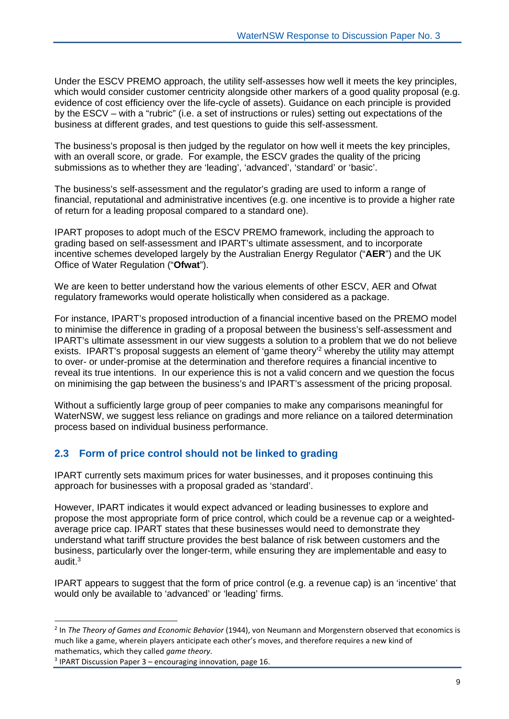Under the ESCV PREMO approach, the utility self-assesses how well it meets the key principles, which would consider customer centricity alongside other markers of a good quality proposal (e.g. evidence of cost efficiency over the life-cycle of assets). Guidance on each principle is provided by the ESCV – with a "rubric" (i.e. a set of instructions or rules) setting out expectations of the business at different grades, and test questions to guide this self-assessment.

The business's proposal is then judged by the regulator on how well it meets the key principles, with an overall score, or grade. For example, the ESCV grades the quality of the pricing submissions as to whether they are 'leading', 'advanced', 'standard' or 'basic'.

The business's self-assessment and the regulator's grading are used to inform a range of financial, reputational and administrative incentives (e.g. one incentive is to provide a higher rate of return for a leading proposal compared to a standard one).

IPART proposes to adopt much of the ESCV PREMO framework, including the approach to grading based on self-assessment and IPART's ultimate assessment, and to incorporate incentive schemes developed largely by the Australian Energy Regulator ("**AER**") and the UK Office of Water Regulation ("**Ofwat**").

We are keen to better understand how the various elements of other ESCV, AER and Ofwat regulatory frameworks would operate holistically when considered as a package.

For instance, IPART's proposed introduction of a financial incentive based on the PREMO model to minimise the difference in grading of a proposal between the business's self-assessment and IPART's ultimate assessment in our view suggests a solution to a problem that we do not believe exists. IPART's proposal suggests an element of 'game theory'<sup>2</sup> whereby the utility may attempt to over- or under-promise at the determination and therefore requires a financial incentive to reveal its true intentions. In our experience this is not a valid concern and we question the focus on minimising the gap between the business's and IPART's assessment of the pricing proposal.

Without a sufficiently large group of peer companies to make any comparisons meaningful for WaterNSW, we suggest less reliance on gradings and more reliance on a tailored determination process based on individual business performance.

# **2.3 Form of price control should not be linked to grading**

IPART currently sets maximum prices for water businesses, and it proposes continuing this approach for businesses with a proposal graded as 'standard'.

However, IPART indicates it would expect advanced or leading businesses to explore and propose the most appropriate form of price control, which could be a revenue cap or a weightedaverage price cap. IPART states that these businesses would need to demonstrate they understand what tariff structure provides the best balance of risk between customers and the business, particularly over the longer-term, while ensuring they are implementable and easy to audit $3$ 

IPART appears to suggest that the form of price control (e.g. a revenue cap) is an 'incentive' that would only be available to 'advanced' or 'leading' firms.

<sup>2</sup> In *The Theory of Games and Economic Behavior* (1944), von Neumann and Morgenstern observed that economics is much like a game, wherein players anticipate each other's moves, and therefore requires a new kind of mathematics, which they called *game theory*.

<sup>&</sup>lt;sup>3</sup> IPART Discussion Paper 3 – encouraging innovation, page 16.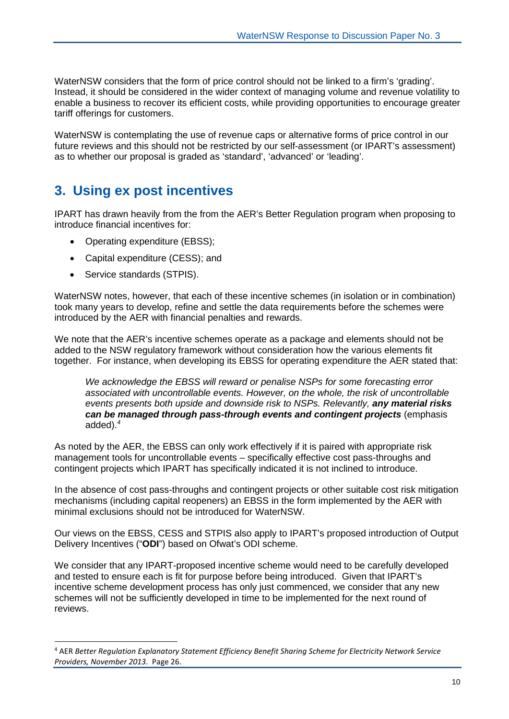WaterNSW considers that the form of price control should not be linked to a firm's 'grading'. Instead, it should be considered in the wider context of managing volume and revenue volatility to enable a business to recover its efficient costs, while providing opportunities to encourage greater tariff offerings for customers.

WaterNSW is contemplating the use of revenue caps or alternative forms of price control in our future reviews and this should not be restricted by our self-assessment (or IPART's assessment) as to whether our proposal is graded as 'standard', 'advanced' or 'leading'.

# **3. Using ex post incentives**

IPART has drawn heavily from the from the AER's Better Regulation program when proposing to introduce financial incentives for:

- Operating expenditure (EBSS);
- Capital expenditure (CESS); and
- Service standards (STPIS).

WaterNSW notes, however, that each of these incentive schemes (in isolation or in combination) took many years to develop, refine and settle the data requirements before the schemes were introduced by the AER with financial penalties and rewards.

We note that the AER's incentive schemes operate as a package and elements should not be added to the NSW regulatory framework without consideration how the various elements fit together. For instance, when developing its EBSS for operating expenditure the AER stated that:

*We acknowledge the EBSS will reward or penalise NSPs for some forecasting error associated with uncontrollable events. However, on the whole, the risk of uncontrollable events presents both upside and downside risk to NSPs. Relevantly, any material risks can be managed through pass-through events and contingent projects* (emphasis added)*. 4*

As noted by the AER, the EBSS can only work effectively if it is paired with appropriate risk management tools for uncontrollable events – specifically effective cost pass-throughs and contingent projects which IPART has specifically indicated it is not inclined to introduce.

In the absence of cost pass-throughs and contingent projects or other suitable cost risk mitigation mechanisms (including capital reopeners) an EBSS in the form implemented by the AER with minimal exclusions should not be introduced for WaterNSW.

Our views on the EBSS, CESS and STPIS also apply to IPART's proposed introduction of Output Delivery Incentives ("**ODI**") based on Ofwat's ODI scheme.

We consider that any IPART-proposed incentive scheme would need to be carefully developed and tested to ensure each is fit for purpose before being introduced. Given that IPART's incentive scheme development process has only just commenced, we consider that any new schemes will not be sufficiently developed in time to be implemented for the next round of reviews.

<sup>4</sup> AER *Better Regulation Explanatory Statement Efficiency Benefit Sharing Scheme for Electricity Network Service Providers, November 2013*. Page 26.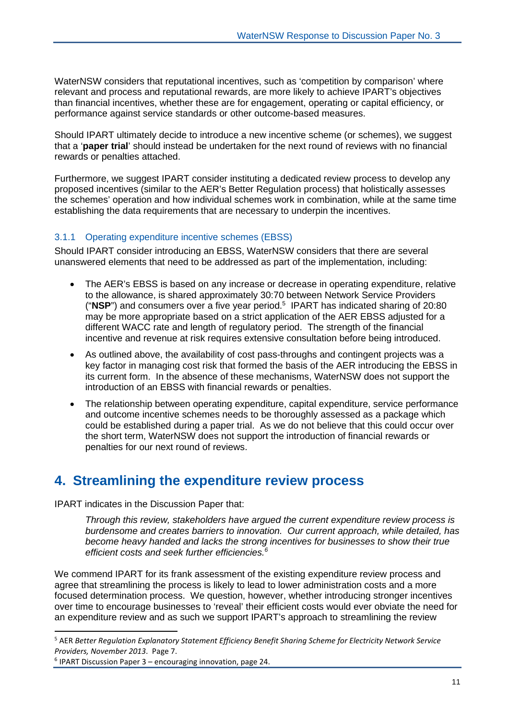WaterNSW considers that reputational incentives, such as 'competition by comparison' where relevant and process and reputational rewards, are more likely to achieve IPART's objectives than financial incentives, whether these are for engagement, operating or capital efficiency, or performance against service standards or other outcome-based measures.

Should IPART ultimately decide to introduce a new incentive scheme (or schemes), we suggest that a '**paper trial**' should instead be undertaken for the next round of reviews with no financial rewards or penalties attached.

Furthermore, we suggest IPART consider instituting a dedicated review process to develop any proposed incentives (similar to the AER's Better Regulation process) that holistically assesses the schemes' operation and how individual schemes work in combination, while at the same time establishing the data requirements that are necessary to underpin the incentives.

### 3.1.1 Operating expenditure incentive schemes (EBSS)

Should IPART consider introducing an EBSS, WaterNSW considers that there are several unanswered elements that need to be addressed as part of the implementation, including:

- The AER's EBSS is based on any increase or decrease in operating expenditure, relative to the allowance, is shared approximately 30:70 between Network Service Providers ("**NSP**") and consumers over a five year period.<sup>5</sup> IPART has indicated sharing of 20:80 may be more appropriate based on a strict application of the AER EBSS adjusted for a different WACC rate and length of regulatory period. The strength of the financial incentive and revenue at risk requires extensive consultation before being introduced.
- As outlined above, the availability of cost pass-throughs and contingent projects was a key factor in managing cost risk that formed the basis of the AER introducing the EBSS in its current form. In the absence of these mechanisms, WaterNSW does not support the introduction of an EBSS with financial rewards or penalties.
- The relationship between operating expenditure, capital expenditure, service performance and outcome incentive schemes needs to be thoroughly assessed as a package which could be established during a paper trial. As we do not believe that this could occur over the short term, WaterNSW does not support the introduction of financial rewards or penalties for our next round of reviews.

# **4. Streamlining the expenditure review process**

IPART indicates in the Discussion Paper that:

*Through this review, stakeholders have argued the current expenditure review process is burdensome and creates barriers to innovation. Our current approach, while detailed, has become heavy handed and lacks the strong incentives for businesses to show their true efficient costs and seek further efficiencies.<sup>6</sup>*

We commend IPART for its frank assessment of the existing expenditure review process and agree that streamlining the process is likely to lead to lower administration costs and a more focused determination process. We question, however, whether introducing stronger incentives over time to encourage businesses to 'reveal' their efficient costs would ever obviate the need for an expenditure review and as such we support IPART's approach to streamlining the review

<sup>5</sup> AER *Better Regulation Explanatory Statement Efficiency Benefit Sharing Scheme for Electricity Network Service Providers, November 2013*. Page 7.

<sup>&</sup>lt;sup>6</sup> IPART Discussion Paper 3 – encouraging innovation, page 24.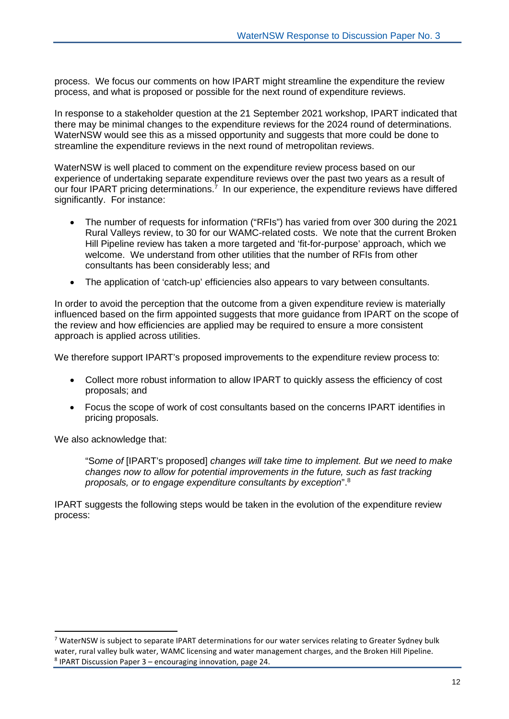process. We focus our comments on how IPART might streamline the expenditure the review process, and what is proposed or possible for the next round of expenditure reviews.

In response to a stakeholder question at the 21 September 2021 workshop, IPART indicated that there may be minimal changes to the expenditure reviews for the 2024 round of determinations. WaterNSW would see this as a missed opportunity and suggests that more could be done to streamline the expenditure reviews in the next round of metropolitan reviews.

WaterNSW is well placed to comment on the expenditure review process based on our experience of undertaking separate expenditure reviews over the past two years as a result of our four IPART pricing determinations.<sup>7</sup> In our experience, the expenditure reviews have differed significantly. For instance:

- The number of requests for information ("RFIs") has varied from over 300 during the 2021 Rural Valleys review, to 30 for our WAMC-related costs. We note that the current Broken Hill Pipeline review has taken a more targeted and 'fit-for-purpose' approach, which we welcome. We understand from other utilities that the number of RFIs from other consultants has been considerably less; and
- The application of 'catch-up' efficiencies also appears to vary between consultants.

In order to avoid the perception that the outcome from a given expenditure review is materially influenced based on the firm appointed suggests that more guidance from IPART on the scope of the review and how efficiencies are applied may be required to ensure a more consistent approach is applied across utilities.

We therefore support IPART's proposed improvements to the expenditure review process to:

- Collect more robust information to allow IPART to quickly assess the efficiency of cost proposals; and
- Focus the scope of work of cost consultants based on the concerns IPART identifies in pricing proposals.

We also acknowledge that:

"S*ome of* [IPART's proposed] *changes will take time to implement. But we need to make changes now to allow for potential improvements in the future, such as fast tracking proposals, or to engage expenditure consultants by exception*".<sup>8</sup>

IPART suggests the following steps would be taken in the evolution of the expenditure review process:

<sup>&</sup>lt;sup>7</sup> WaterNSW is subject to separate IPART determinations for our water services relating to Greater Sydney bulk water, rural valley bulk water, WAMC licensing and water management charges, and the Broken Hill Pipeline. <sup>8</sup> IPART Discussion Paper 3 – encouraging innovation, page 24.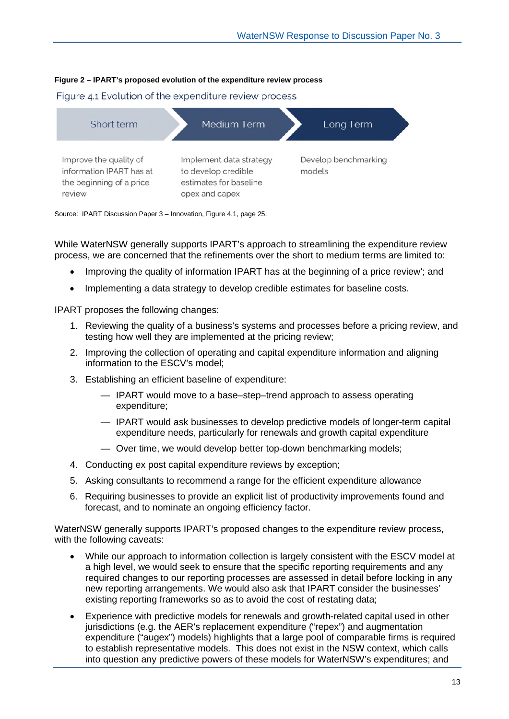#### **Figure 2 – IPART's proposed evolution of the expenditure review process**

Figure 4.1 Evolution of the expenditure review process



Source: IPART Discussion Paper 3 – Innovation, Figure 4.1, page 25.

While WaterNSW generally supports IPART's approach to streamlining the expenditure review process, we are concerned that the refinements over the short to medium terms are limited to:

- Improving the quality of information IPART has at the beginning of a price review'; and
- Implementing a data strategy to develop credible estimates for baseline costs.

IPART proposes the following changes:

- 1. Reviewing the quality of a business's systems and processes before a pricing review, and testing how well they are implemented at the pricing review;
- 2. Improving the collection of operating and capital expenditure information and aligning information to the ESCV's model;
- 3. Establishing an efficient baseline of expenditure:
	- IPART would move to a base–step–trend approach to assess operating expenditure;
	- IPART would ask businesses to develop predictive models of longer-term capital expenditure needs, particularly for renewals and growth capital expenditure
	- Over time, we would develop better top-down benchmarking models;
- 4. Conducting ex post capital expenditure reviews by exception;
- 5. Asking consultants to recommend a range for the efficient expenditure allowance
- 6. Requiring businesses to provide an explicit list of productivity improvements found and forecast, and to nominate an ongoing efficiency factor.

WaterNSW generally supports IPART's proposed changes to the expenditure review process, with the following caveats:

- While our approach to information collection is largely consistent with the ESCV model at a high level, we would seek to ensure that the specific reporting requirements and any required changes to our reporting processes are assessed in detail before locking in any new reporting arrangements. We would also ask that IPART consider the businesses' existing reporting frameworks so as to avoid the cost of restating data;
- Experience with predictive models for renewals and growth-related capital used in other jurisdictions (e.g. the AER's replacement expenditure ("repex") and augmentation expenditure ("augex") models) highlights that a large pool of comparable firms is required to establish representative models. This does not exist in the NSW context, which calls into question any predictive powers of these models for WaterNSW's expenditures; and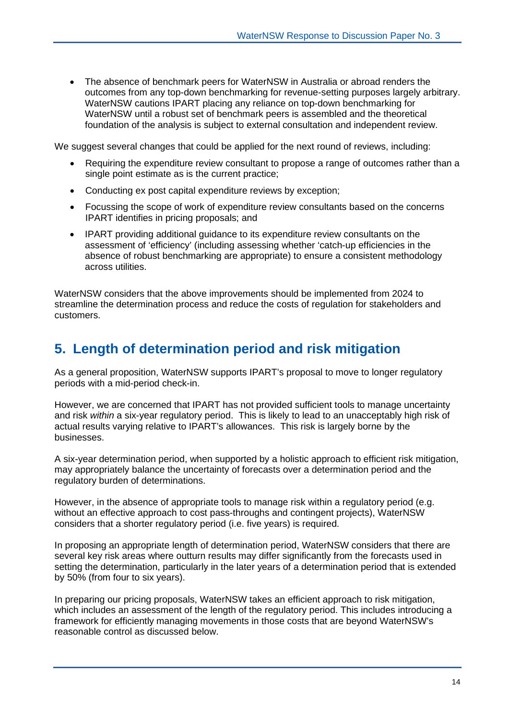The absence of benchmark peers for WaterNSW in Australia or abroad renders the outcomes from any top-down benchmarking for revenue-setting purposes largely arbitrary. WaterNSW cautions IPART placing any reliance on top-down benchmarking for WaterNSW until a robust set of benchmark peers is assembled and the theoretical foundation of the analysis is subject to external consultation and independent review.

We suggest several changes that could be applied for the next round of reviews, including:

- Requiring the expenditure review consultant to propose a range of outcomes rather than a single point estimate as is the current practice;
- Conducting ex post capital expenditure reviews by exception;
- Focussing the scope of work of expenditure review consultants based on the concerns IPART identifies in pricing proposals; and
- IPART providing additional guidance to its expenditure review consultants on the assessment of 'efficiency' (including assessing whether 'catch-up efficiencies in the absence of robust benchmarking are appropriate) to ensure a consistent methodology across utilities.

WaterNSW considers that the above improvements should be implemented from 2024 to streamline the determination process and reduce the costs of regulation for stakeholders and customers.

# **5. Length of determination period and risk mitigation**

As a general proposition, WaterNSW supports IPART's proposal to move to longer regulatory periods with a mid-period check-in.

However, we are concerned that IPART has not provided sufficient tools to manage uncertainty and risk *within* a six-year regulatory period. This is likely to lead to an unacceptably high risk of actual results varying relative to IPART's allowances. This risk is largely borne by the businesses.

A six-year determination period, when supported by a holistic approach to efficient risk mitigation, may appropriately balance the uncertainty of forecasts over a determination period and the regulatory burden of determinations.

However, in the absence of appropriate tools to manage risk within a regulatory period (e.g. without an effective approach to cost pass-throughs and contingent projects), WaterNSW considers that a shorter regulatory period (i.e. five years) is required.

In proposing an appropriate length of determination period, WaterNSW considers that there are several key risk areas where outturn results may differ significantly from the forecasts used in setting the determination, particularly in the later years of a determination period that is extended by 50% (from four to six years).

In preparing our pricing proposals, WaterNSW takes an efficient approach to risk mitigation, which includes an assessment of the length of the regulatory period. This includes introducing a framework for efficiently managing movements in those costs that are beyond WaterNSW's reasonable control as discussed below.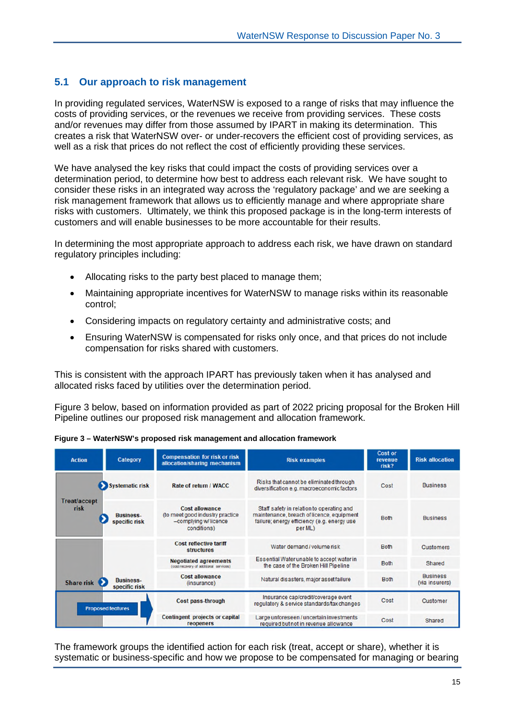## **5.1 Our approach to risk management**

In providing regulated services, WaterNSW is exposed to a range of risks that may influence the costs of providing services, or the revenues we receive from providing services. These costs and/or revenues may differ from those assumed by IPART in making its determination. This creates a risk that WaterNSW over- or under-recovers the efficient cost of providing services, as well as a risk that prices do not reflect the cost of efficiently providing these services.

We have analysed the key risks that could impact the costs of providing services over a determination period, to determine how best to address each relevant risk. We have sought to consider these risks in an integrated way across the 'regulatory package' and we are seeking a risk management framework that allows us to efficiently manage and where appropriate share risks with customers. Ultimately, we think this proposed package is in the long-term interests of customers and will enable businesses to be more accountable for their results.

In determining the most appropriate approach to address each risk, we have drawn on standard regulatory principles including:

- Allocating risks to the party best placed to manage them;
- Maintaining appropriate incentives for WaterNSW to manage risks within its reasonable control;
- Considering impacts on regulatory certainty and administrative costs; and
- Ensuring WaterNSW is compensated for risks only once, and that prices do not include compensation for risks shared with customers.

This is consistent with the approach IPART has previously taken when it has analysed and allocated risks faced by utilities over the determination period.

Figure 3 below, based on information provided as part of 2022 pricing proposal for the Broken Hill Pipeline outlines our proposed risk management and allocation framework.

| <b>Action</b>               | Category                          | <b>Compensation for risk or risk</b><br>allocation/sharing mechanism                     | <b>Risk examples</b>                                                                                                                             | Cost or<br>revenue<br>risk? | <b>Risk allocation</b>            |
|-----------------------------|-----------------------------------|------------------------------------------------------------------------------------------|--------------------------------------------------------------------------------------------------------------------------------------------------|-----------------------------|-----------------------------------|
|                             | <b>Systematic risk</b>            | Rate of return / WACC                                                                    | Risks that cannot be eliminated through<br>diversification e.g. macroeconomicfactors                                                             | Cost                        | <b>Business</b>                   |
| <b>Treat/accept</b><br>risk | <b>Business-</b><br>specific risk | Cost allowance<br>(to meet good industry practice<br>-complying w/licence<br>conditions) | Staff safety in relation to operating and<br>maintenance, breach of licence, equipment<br>failure; energy efficiency (e.g. energy use<br>per ML) | <b>Both</b>                 | <b>Business</b>                   |
|                             | <b>Business-</b><br>specific risk | <b>Cost reflective tariff</b><br><b>structures</b>                                       | Water demand/volume risk                                                                                                                         | <b>Both</b>                 | <b>Customers</b>                  |
|                             |                                   | <b>Negotiated agreements</b><br>(cost recovery of additional services)                   | Essential Water unable to accept water in<br>the case of the Broken Hill Pipeline                                                                | <b>Both</b>                 | Shared                            |
| Share risk (2)              |                                   | <b>Cost allowance</b><br>(insurance)                                                     | Natural disasters, major asset failure                                                                                                           | <b>Both</b>                 | <b>Business</b><br>(via insurers) |
| <b>Proposed features</b>    |                                   | Cost pass-through                                                                        | Insurance cap/credit/coverage event<br>regulatory & service standards/tax changes                                                                | Cost                        | Customer                          |
|                             |                                   | Contingent projects or capital<br>reopeners                                              | Large unforeseen / uncertain investments<br>required but not in revenue allowance                                                                | Cost                        | Shared                            |

**Figure 3 – WaterNSW's proposed risk management and allocation framework** 

The framework groups the identified action for each risk (treat, accept or share), whether it is systematic or business-specific and how we propose to be compensated for managing or bearing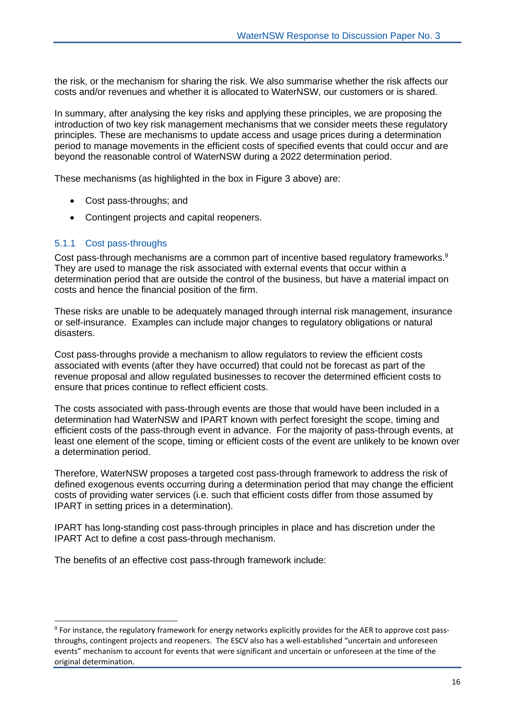the risk, or the mechanism for sharing the risk. We also summarise whether the risk affects our costs and/or revenues and whether it is allocated to WaterNSW, our customers or is shared.

In summary, after analysing the key risks and applying these principles, we are proposing the introduction of two key risk management mechanisms that we consider meets these regulatory principles. These are mechanisms to update access and usage prices during a determination period to manage movements in the efficient costs of specified events that could occur and are beyond the reasonable control of WaterNSW during a 2022 determination period.

These mechanisms (as highlighted in the box in Figure 3 above) are:

- Cost pass-throughs; and
- Contingent projects and capital reopeners.

### 5.1.1 Cost pass-throughs

Cost pass-through mechanisms are a common part of incentive based regulatory frameworks.<sup>9</sup> They are used to manage the risk associated with external events that occur within a determination period that are outside the control of the business, but have a material impact on costs and hence the financial position of the firm.

These risks are unable to be adequately managed through internal risk management, insurance or self-insurance. Examples can include major changes to regulatory obligations or natural disasters.

Cost pass-throughs provide a mechanism to allow regulators to review the efficient costs associated with events (after they have occurred) that could not be forecast as part of the revenue proposal and allow regulated businesses to recover the determined efficient costs to ensure that prices continue to reflect efficient costs.

The costs associated with pass-through events are those that would have been included in a determination had WaterNSW and IPART known with perfect foresight the scope, timing and efficient costs of the pass-through event in advance. For the majority of pass-through events, at least one element of the scope, timing or efficient costs of the event are unlikely to be known over a determination period.

Therefore, WaterNSW proposes a targeted cost pass-through framework to address the risk of defined exogenous events occurring during a determination period that may change the efficient costs of providing water services (i.e. such that efficient costs differ from those assumed by IPART in setting prices in a determination).

IPART has long-standing cost pass-through principles in place and has discretion under the IPART Act to define a cost pass-through mechanism.

The benefits of an effective cost pass-through framework include:

<sup>&</sup>lt;sup>9</sup> For instance, the regulatory framework for energy networks explicitly provides for the AER to approve cost passthroughs, contingent projects and reopeners. The ESCV also has a well-established "uncertain and unforeseen events" mechanism to account for events that were significant and uncertain or unforeseen at the time of the original determination.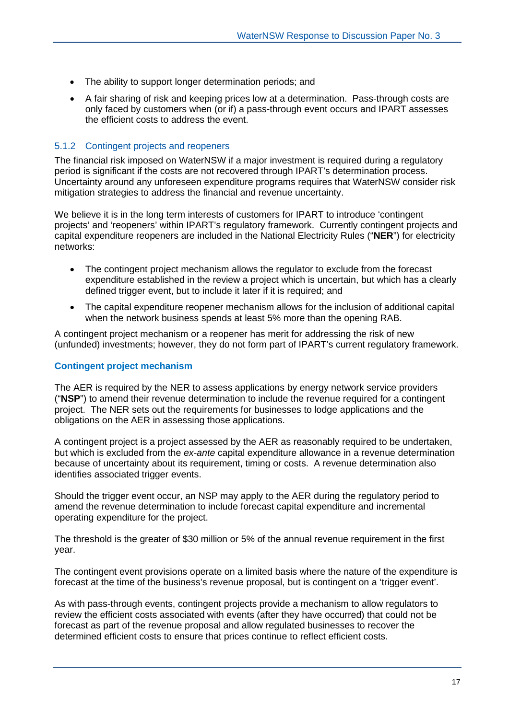- The ability to support longer determination periods; and
- A fair sharing of risk and keeping prices low at a determination. Pass-through costs are only faced by customers when (or if) a pass-through event occurs and IPART assesses the efficient costs to address the event.

### 5.1.2 Contingent projects and reopeners

The financial risk imposed on WaterNSW if a major investment is required during a regulatory period is significant if the costs are not recovered through IPART's determination process. Uncertainty around any unforeseen expenditure programs requires that WaterNSW consider risk mitigation strategies to address the financial and revenue uncertainty.

We believe it is in the long term interests of customers for IPART to introduce 'contingent projects' and 'reopeners' within IPART's regulatory framework. Currently contingent projects and capital expenditure reopeners are included in the National Electricity Rules ("**NER**") for electricity networks:

- The contingent project mechanism allows the regulator to exclude from the forecast expenditure established in the review a project which is uncertain, but which has a clearly defined trigger event, but to include it later if it is required; and
- The capital expenditure reopener mechanism allows for the inclusion of additional capital when the network business spends at least 5% more than the opening RAB.

A contingent project mechanism or a reopener has merit for addressing the risk of new (unfunded) investments; however, they do not form part of IPART's current regulatory framework.

### **Contingent project mechanism**

The AER is required by the NER to assess applications by energy network service providers ("**NSP**") to amend their revenue determination to include the revenue required for a contingent project. The NER sets out the requirements for businesses to lodge applications and the obligations on the AER in assessing those applications.

A contingent project is a project assessed by the AER as reasonably required to be undertaken, but which is excluded from the *ex-ante* capital expenditure allowance in a revenue determination because of uncertainty about its requirement, timing or costs. A revenue determination also identifies associated trigger events.

Should the trigger event occur, an NSP may apply to the AER during the regulatory period to amend the revenue determination to include forecast capital expenditure and incremental operating expenditure for the project.

The threshold is the greater of \$30 million or 5% of the annual revenue requirement in the first year.

The contingent event provisions operate on a limited basis where the nature of the expenditure is forecast at the time of the business's revenue proposal, but is contingent on a 'trigger event'.

As with pass-through events, contingent projects provide a mechanism to allow regulators to review the efficient costs associated with events (after they have occurred) that could not be forecast as part of the revenue proposal and allow regulated businesses to recover the determined efficient costs to ensure that prices continue to reflect efficient costs.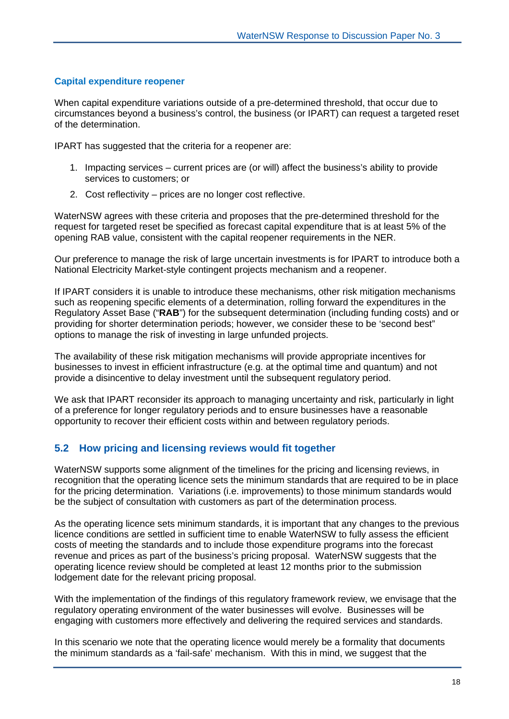### **Capital expenditure reopener**

When capital expenditure variations outside of a pre-determined threshold, that occur due to circumstances beyond a business's control, the business (or IPART) can request a targeted reset of the determination.

IPART has suggested that the criteria for a reopener are:

- 1. Impacting services current prices are (or will) affect the business's ability to provide services to customers; or
- 2. Cost reflectivity prices are no longer cost reflective.

WaterNSW agrees with these criteria and proposes that the pre-determined threshold for the request for targeted reset be specified as forecast capital expenditure that is at least 5% of the opening RAB value, consistent with the capital reopener requirements in the NER.

Our preference to manage the risk of large uncertain investments is for IPART to introduce both a National Electricity Market-style contingent projects mechanism and a reopener.

If IPART considers it is unable to introduce these mechanisms, other risk mitigation mechanisms such as reopening specific elements of a determination, rolling forward the expenditures in the Regulatory Asset Base ("**RAB**") for the subsequent determination (including funding costs) and or providing for shorter determination periods; however, we consider these to be 'second best" options to manage the risk of investing in large unfunded projects.

The availability of these risk mitigation mechanisms will provide appropriate incentives for businesses to invest in efficient infrastructure (e.g. at the optimal time and quantum) and not provide a disincentive to delay investment until the subsequent regulatory period.

We ask that IPART reconsider its approach to managing uncertainty and risk, particularly in light of a preference for longer regulatory periods and to ensure businesses have a reasonable opportunity to recover their efficient costs within and between regulatory periods.

### **5.2 How pricing and licensing reviews would fit together**

WaterNSW supports some alignment of the timelines for the pricing and licensing reviews, in recognition that the operating licence sets the minimum standards that are required to be in place for the pricing determination. Variations (i.e. improvements) to those minimum standards would be the subject of consultation with customers as part of the determination process.

As the operating licence sets minimum standards, it is important that any changes to the previous licence conditions are settled in sufficient time to enable WaterNSW to fully assess the efficient costs of meeting the standards and to include those expenditure programs into the forecast revenue and prices as part of the business's pricing proposal. WaterNSW suggests that the operating licence review should be completed at least 12 months prior to the submission lodgement date for the relevant pricing proposal.

With the implementation of the findings of this regulatory framework review, we envisage that the regulatory operating environment of the water businesses will evolve. Businesses will be engaging with customers more effectively and delivering the required services and standards.

In this scenario we note that the operating licence would merely be a formality that documents the minimum standards as a 'fail-safe' mechanism. With this in mind, we suggest that the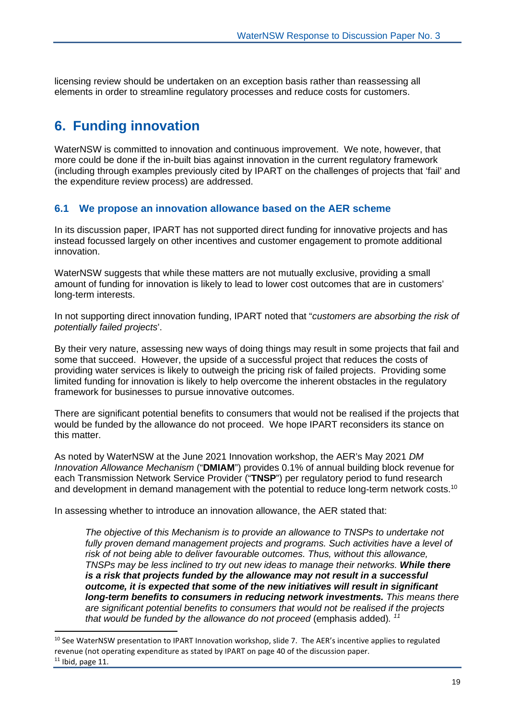licensing review should be undertaken on an exception basis rather than reassessing all elements in order to streamline regulatory processes and reduce costs for customers.

# **6. Funding innovation**

WaterNSW is committed to innovation and continuous improvement. We note, however, that more could be done if the in-built bias against innovation in the current regulatory framework (including through examples previously cited by IPART on the challenges of projects that 'fail' and the expenditure review process) are addressed.

### **6.1 We propose an innovation allowance based on the AER scheme**

In its discussion paper, IPART has not supported direct funding for innovative projects and has instead focussed largely on other incentives and customer engagement to promote additional innovation.

WaterNSW suggests that while these matters are not mutually exclusive, providing a small amount of funding for innovation is likely to lead to lower cost outcomes that are in customers' long-term interests.

In not supporting direct innovation funding, IPART noted that "*customers are absorbing the risk of potentially failed projects*'.

By their very nature, assessing new ways of doing things may result in some projects that fail and some that succeed. However, the upside of a successful project that reduces the costs of providing water services is likely to outweigh the pricing risk of failed projects. Providing some limited funding for innovation is likely to help overcome the inherent obstacles in the regulatory framework for businesses to pursue innovative outcomes.

There are significant potential benefits to consumers that would not be realised if the projects that would be funded by the allowance do not proceed. We hope IPART reconsiders its stance on this matter.

As noted by WaterNSW at the June 2021 Innovation workshop, the AER's May 2021 *DM Innovation Allowance Mechanism* ("**DMIAM**") provides 0.1% of annual building block revenue for each Transmission Network Service Provider ("**TNSP**") per regulatory period to fund research and development in demand management with the potential to reduce long-term network costs.<sup>10</sup>

In assessing whether to introduce an innovation allowance, the AER stated that:

*The objective of this Mechanism is to provide an allowance to TNSPs to undertake not fully proven demand management projects and programs. Such activities have a level of risk of not being able to deliver favourable outcomes. Thus, without this allowance, TNSPs may be less inclined to try out new ideas to manage their networks. While there is a risk that projects funded by the allowance may not result in a successful outcome, it is expected that some of the new initiatives will result in significant long-term benefits to consumers in reducing network investments. This means there are significant potential benefits to consumers that would not be realised if the projects that would be funded by the allowance do not proceed* (emphasis added)*. 11*

<sup>&</sup>lt;sup>10</sup> See WaterNSW presentation to IPART Innovation workshop, slide 7. The AER's incentive applies to regulated revenue (not operating expenditure as stated by IPART on page 40 of the discussion paper.  $11$  Ibid, page 11.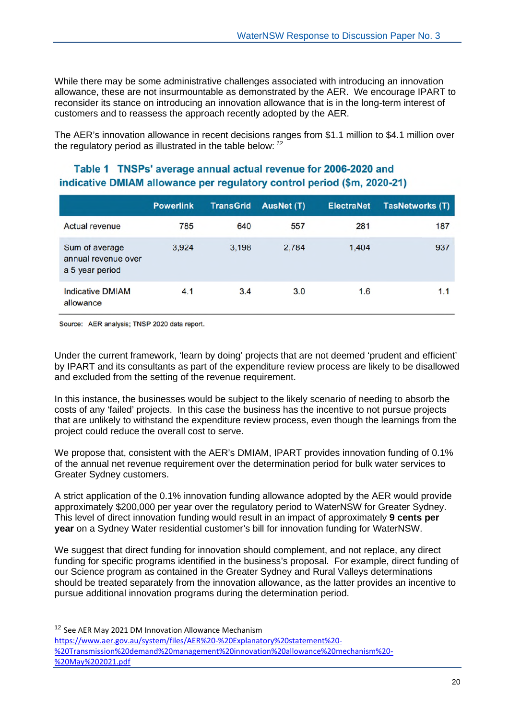While there may be some administrative challenges associated with introducing an innovation allowance, these are not insurmountable as demonstrated by the AER. We encourage IPART to reconsider its stance on introducing an innovation allowance that is in the long-term interest of customers and to reassess the approach recently adopted by the AER.

The AER's innovation allowance in recent decisions ranges from \$1.1 million to \$4.1 million over the regulatory period as illustrated in the table below:*<sup>12</sup>*

## Table 1 TNSPs' average annual actual revenue for 2006-2020 and indicative DMIAM allowance per regulatory control period (\$m. 2020-21)

|                                                          | <b>Powerlink</b> | <b>TransGrid</b> | AusNet (T) | <b>ElectraNet</b> | <b>TasNetworks (T)</b> |
|----------------------------------------------------------|------------------|------------------|------------|-------------------|------------------------|
| <b>Actual revenue</b>                                    | 785              | 640              | 557        | 281               | 187                    |
| Sum of average<br>annual revenue over<br>a 5 year period | 3,924            | 3,198            | 2,784      | 1,404             | 937                    |
| <b>Indicative DMIAM</b><br>allowance                     | 4.1              | 3.4              | 3.0        | 1.6               | 1.1                    |

Source: AER analysis: TNSP 2020 data report.

Under the current framework, 'learn by doing' projects that are not deemed 'prudent and efficient' by IPART and its consultants as part of the expenditure review process are likely to be disallowed and excluded from the setting of the revenue requirement.

In this instance, the businesses would be subject to the likely scenario of needing to absorb the costs of any 'failed' projects. In this case the business has the incentive to not pursue projects that are unlikely to withstand the expenditure review process, even though the learnings from the project could reduce the overall cost to serve.

We propose that, consistent with the AER's DMIAM, IPART provides innovation funding of 0.1% of the annual net revenue requirement over the determination period for bulk water services to Greater Sydney customers.

A strict application of the 0.1% innovation funding allowance adopted by the AER would provide approximately \$200,000 per year over the regulatory period to WaterNSW for Greater Sydney. This level of direct innovation funding would result in an impact of approximately **9 cents per year** on a Sydney Water residential customer's bill for innovation funding for WaterNSW.

We suggest that direct funding for innovation should complement, and not replace, any direct funding for specific programs identified in the business's proposal. For example, direct funding of our Science program as contained in the Greater Sydney and Rural Valleys determinations should be treated separately from the innovation allowance, as the latter provides an incentive to pursue additional innovation programs during the determination period.

<sup>12</sup> See AER May 2021 DM Innovation Allowance Mechanism

https://www.aer.gov.au/system/files/AER%20-%20Explanatory%20statement%20-

<sup>%20</sup>Transmission%20demand%20management%20innovation%20allowance%20mechanism%20- %20May%202021.pdf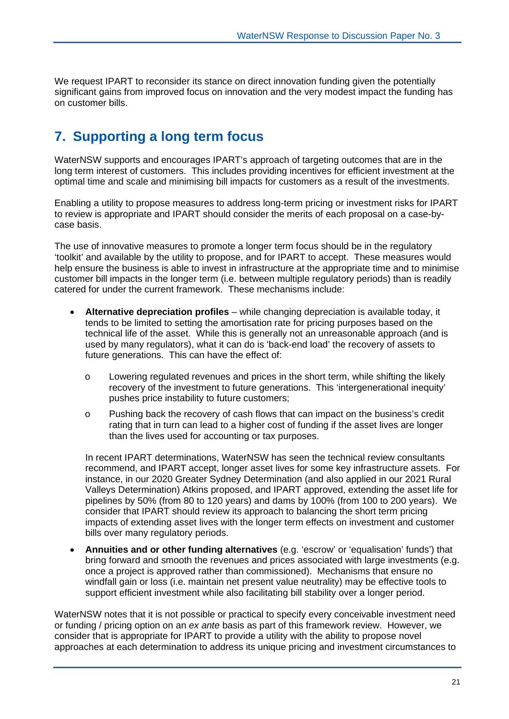We request IPART to reconsider its stance on direct innovation funding given the potentially significant gains from improved focus on innovation and the very modest impact the funding has on customer bills.

# **7. Supporting a long term focus**

WaterNSW supports and encourages IPART's approach of targeting outcomes that are in the long term interest of customers. This includes providing incentives for efficient investment at the optimal time and scale and minimising bill impacts for customers as a result of the investments.

Enabling a utility to propose measures to address long-term pricing or investment risks for IPART to review is appropriate and IPART should consider the merits of each proposal on a case-bycase basis.

The use of innovative measures to promote a longer term focus should be in the regulatory 'toolkit' and available by the utility to propose, and for IPART to accept. These measures would help ensure the business is able to invest in infrastructure at the appropriate time and to minimise customer bill impacts in the longer term (i.e. between multiple regulatory periods) than is readily catered for under the current framework. These mechanisms include:

- **Alternative depreciation profiles** while changing depreciation is available today, it tends to be limited to setting the amortisation rate for pricing purposes based on the technical life of the asset. While this is generally not an unreasonable approach (and is used by many regulators), what it can do is 'back-end load' the recovery of assets to future generations. This can have the effect of:
	- $\circ$  Lowering regulated revenues and prices in the short term, while shifting the likely recovery of the investment to future generations. This 'intergenerational inequity' pushes price instability to future customers;
	- o Pushing back the recovery of cash flows that can impact on the business's credit rating that in turn can lead to a higher cost of funding if the asset lives are longer than the lives used for accounting or tax purposes.

In recent IPART determinations, WaterNSW has seen the technical review consultants recommend, and IPART accept, longer asset lives for some key infrastructure assets. For instance, in our 2020 Greater Sydney Determination (and also applied in our 2021 Rural Valleys Determination) Atkins proposed, and IPART approved, extending the asset life for pipelines by 50% (from 80 to 120 years) and dams by 100% (from 100 to 200 years). We consider that IPART should review its approach to balancing the short term pricing impacts of extending asset lives with the longer term effects on investment and customer bills over many regulatory periods.

 **Annuities and or other funding alternatives** (e.g. 'escrow' or 'equalisation' funds') that bring forward and smooth the revenues and prices associated with large investments (e.g. once a project is approved rather than commissioned). Mechanisms that ensure no windfall gain or loss (i.e. maintain net present value neutrality) may be effective tools to support efficient investment while also facilitating bill stability over a longer period.

WaterNSW notes that it is not possible or practical to specify every conceivable investment need or funding / pricing option on an *ex ante* basis as part of this framework review. However, we consider that is appropriate for IPART to provide a utility with the ability to propose novel approaches at each determination to address its unique pricing and investment circumstances to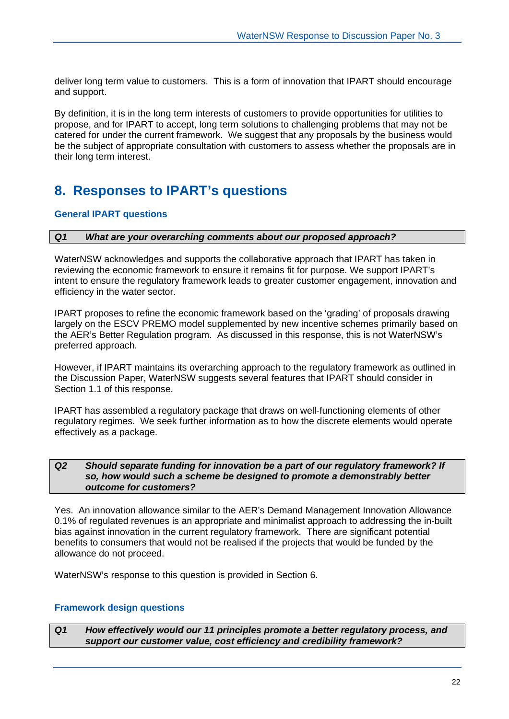deliver long term value to customers. This is a form of innovation that IPART should encourage and support.

By definition, it is in the long term interests of customers to provide opportunities for utilities to propose, and for IPART to accept, long term solutions to challenging problems that may not be catered for under the current framework. We suggest that any proposals by the business would be the subject of appropriate consultation with customers to assess whether the proposals are in their long term interest.

# **8. Responses to IPART's questions**

### **General IPART questions**

### *Q1 What are your overarching comments about our proposed approach?*

WaterNSW acknowledges and supports the collaborative approach that IPART has taken in reviewing the economic framework to ensure it remains fit for purpose. We support IPART's intent to ensure the regulatory framework leads to greater customer engagement, innovation and efficiency in the water sector.

IPART proposes to refine the economic framework based on the 'grading' of proposals drawing largely on the ESCV PREMO model supplemented by new incentive schemes primarily based on the AER's Better Regulation program. As discussed in this response, this is not WaterNSW's preferred approach.

However, if IPART maintains its overarching approach to the regulatory framework as outlined in the Discussion Paper, WaterNSW suggests several features that IPART should consider in Section 1.1 of this response.

IPART has assembled a regulatory package that draws on well-functioning elements of other regulatory regimes. We seek further information as to how the discrete elements would operate effectively as a package.

#### *Q2 Should separate funding for innovation be a part of our regulatory framework? If so, how would such a scheme be designed to promote a demonstrably better outcome for customers?*

Yes. An innovation allowance similar to the AER's Demand Management Innovation Allowance 0.1% of regulated revenues is an appropriate and minimalist approach to addressing the in-built bias against innovation in the current regulatory framework. There are significant potential benefits to consumers that would not be realised if the projects that would be funded by the allowance do not proceed.

WaterNSW's response to this question is provided in Section 6.

### **Framework design questions**

#### *Q1 How effectively would our 11 principles promote a better regulatory process, and support our customer value, cost efficiency and credibility framework?*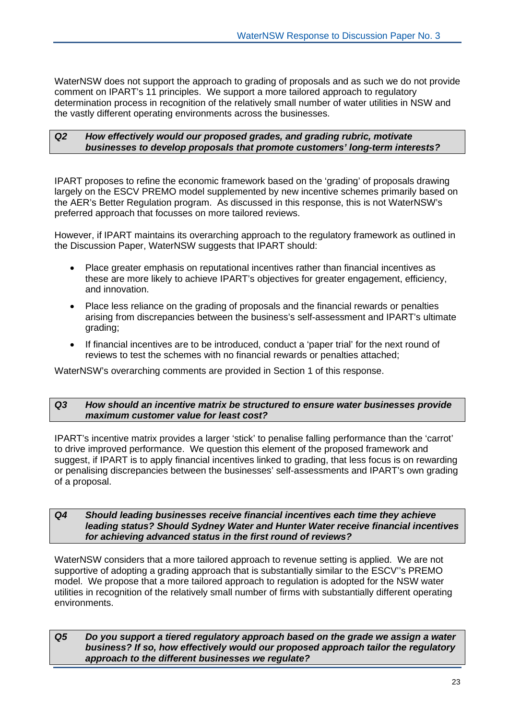WaterNSW does not support the approach to grading of proposals and as such we do not provide comment on IPART's 11 principles. We support a more tailored approach to regulatory determination process in recognition of the relatively small number of water utilities in NSW and the vastly different operating environments across the businesses.

### *Q2 How effectively would our proposed grades, and grading rubric, motivate businesses to develop proposals that promote customers' long-term interests?*

IPART proposes to refine the economic framework based on the 'grading' of proposals drawing largely on the ESCV PREMO model supplemented by new incentive schemes primarily based on the AER's Better Regulation program. As discussed in this response, this is not WaterNSW's preferred approach that focusses on more tailored reviews.

However, if IPART maintains its overarching approach to the regulatory framework as outlined in the Discussion Paper, WaterNSW suggests that IPART should:

- Place greater emphasis on reputational incentives rather than financial incentives as these are more likely to achieve IPART's objectives for greater engagement, efficiency, and innovation.
- Place less reliance on the grading of proposals and the financial rewards or penalties arising from discrepancies between the business's self-assessment and IPART's ultimate grading;
- If financial incentives are to be introduced, conduct a 'paper trial' for the next round of reviews to test the schemes with no financial rewards or penalties attached;

WaterNSW's overarching comments are provided in Section 1 of this response.

#### *Q3 How should an incentive matrix be structured to ensure water businesses provide maximum customer value for least cost?*

IPART's incentive matrix provides a larger 'stick' to penalise falling performance than the 'carrot' to drive improved performance. We question this element of the proposed framework and suggest, if IPART is to apply financial incentives linked to grading, that less focus is on rewarding or penalising discrepancies between the businesses' self-assessments and IPART's own grading of a proposal.

### *Q4 Should leading businesses receive financial incentives each time they achieve leading status? Should Sydney Water and Hunter Water receive financial incentives for achieving advanced status in the first round of reviews?*

WaterNSW considers that a more tailored approach to revenue setting is applied. We are not supportive of adopting a grading approach that is substantially similar to the ESCV"s PREMO model. We propose that a more tailored approach to regulation is adopted for the NSW water utilities in recognition of the relatively small number of firms with substantially different operating environments.

#### *Q5 Do you support a tiered regulatory approach based on the grade we assign a water business? If so, how effectively would our proposed approach tailor the regulatory approach to the different businesses we regulate?*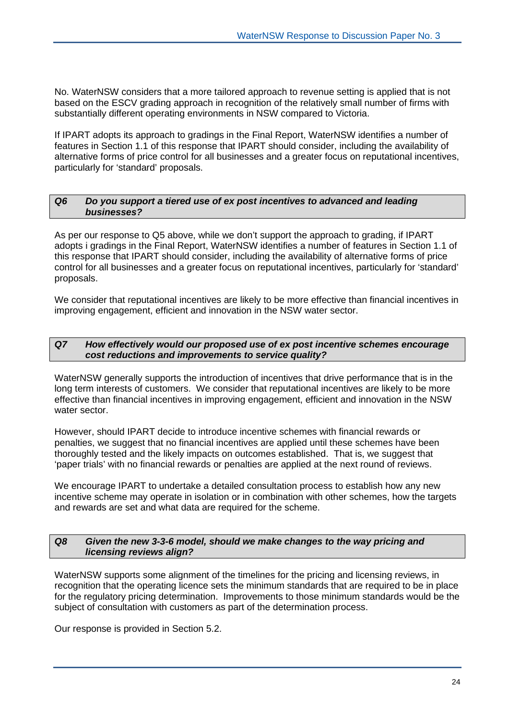No. WaterNSW considers that a more tailored approach to revenue setting is applied that is not based on the ESCV grading approach in recognition of the relatively small number of firms with substantially different operating environments in NSW compared to Victoria.

If IPART adopts its approach to gradings in the Final Report, WaterNSW identifies a number of features in Section 1.1 of this response that IPART should consider, including the availability of alternative forms of price control for all businesses and a greater focus on reputational incentives, particularly for 'standard' proposals.

### *Q6 Do you support a tiered use of ex post incentives to advanced and leading businesses?*

As per our response to Q5 above, while we don't support the approach to grading, if IPART adopts i gradings in the Final Report, WaterNSW identifies a number of features in Section 1.1 of this response that IPART should consider, including the availability of alternative forms of price control for all businesses and a greater focus on reputational incentives, particularly for 'standard' proposals.

We consider that reputational incentives are likely to be more effective than financial incentives in improving engagement, efficient and innovation in the NSW water sector.

#### *Q7 How effectively would our proposed use of ex post incentive schemes encourage cost reductions and improvements to service quality?*

WaterNSW generally supports the introduction of incentives that drive performance that is in the long term interests of customers. We consider that reputational incentives are likely to be more effective than financial incentives in improving engagement, efficient and innovation in the NSW water sector.

However, should IPART decide to introduce incentive schemes with financial rewards or penalties, we suggest that no financial incentives are applied until these schemes have been thoroughly tested and the likely impacts on outcomes established. That is, we suggest that 'paper trials' with no financial rewards or penalties are applied at the next round of reviews.

We encourage IPART to undertake a detailed consultation process to establish how any new incentive scheme may operate in isolation or in combination with other schemes, how the targets and rewards are set and what data are required for the scheme.

### *Q8 Given the new 3-3-6 model, should we make changes to the way pricing and licensing reviews align?*

WaterNSW supports some alignment of the timelines for the pricing and licensing reviews, in recognition that the operating licence sets the minimum standards that are required to be in place for the regulatory pricing determination. Improvements to those minimum standards would be the subject of consultation with customers as part of the determination process.

Our response is provided in Section 5.2.